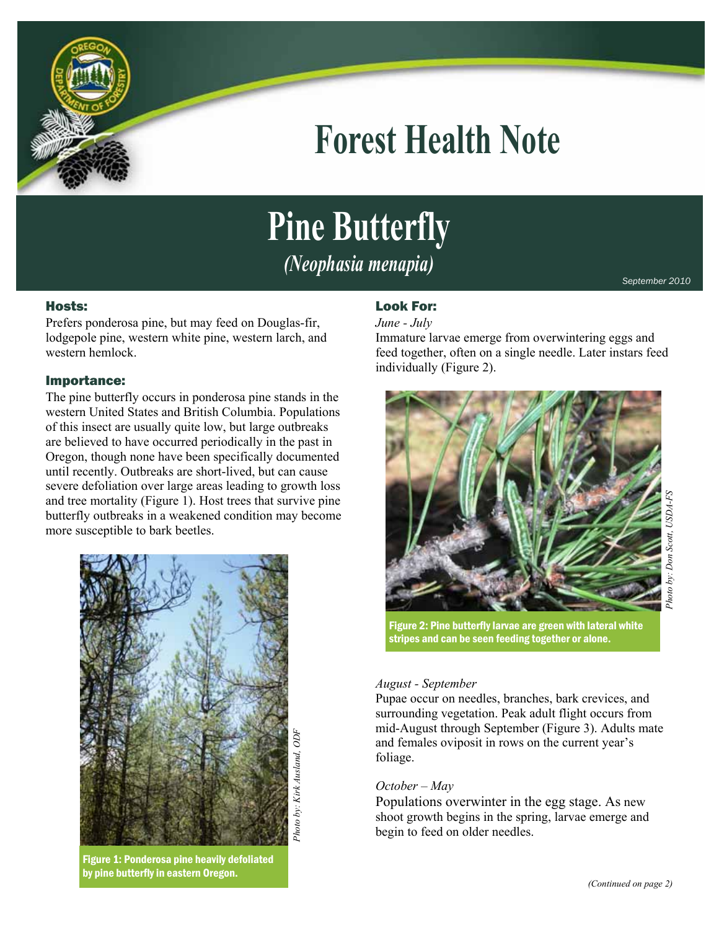

## **Forest Health Note**

# **Pine Butterfly**

*(Neophasia menapia)* 

### Hosts:

Prefers ponderosa pine, but may feed on Douglas-fir, lodgepole pine, western white pine, western larch, and western hemlock.

### Importance:

The pine butterfly occurs in ponderosa pine stands in the western United States and British Columbia. Populations of this insect are usually quite low, but large outbreaks are believed to have occurred periodically in the past in Oregon, though none have been specifically documented until recently. Outbreaks are short-lived, but can cause severe defoliation over large areas leading to growth loss and tree mortality (Figure 1). Host trees that survive pine butterfly outbreaks in a weakened condition may become more susceptible to bark beetles.



*Photo by: Kirk Ausland, ODF*  by: Kirk Ausland, ODF Photo

Figure 1: Ponderosa pine heavily defoliated by pine butterfly in eastern Oregon.

### Look For:

### *June - July*

Immature larvae emerge from overwintering eggs and feed together, often on a single needle. Later instars feed individually (Figure 2).



*September 2010* 

Figure 2: Pine butterfly larvae are green with lateral white stripes and can be seen feeding together or alone.

### *August - September*

Pupae occur on needles, branches, bark crevices, and surrounding vegetation. Peak adult flight occurs from mid-August through September (Figure 3). Adults mate and females oviposit in rows on the current year's foliage.

### *October – May*

Populations overwinter in the egg stage. As new shoot growth begins in the spring, larvae emerge and begin to feed on older needles.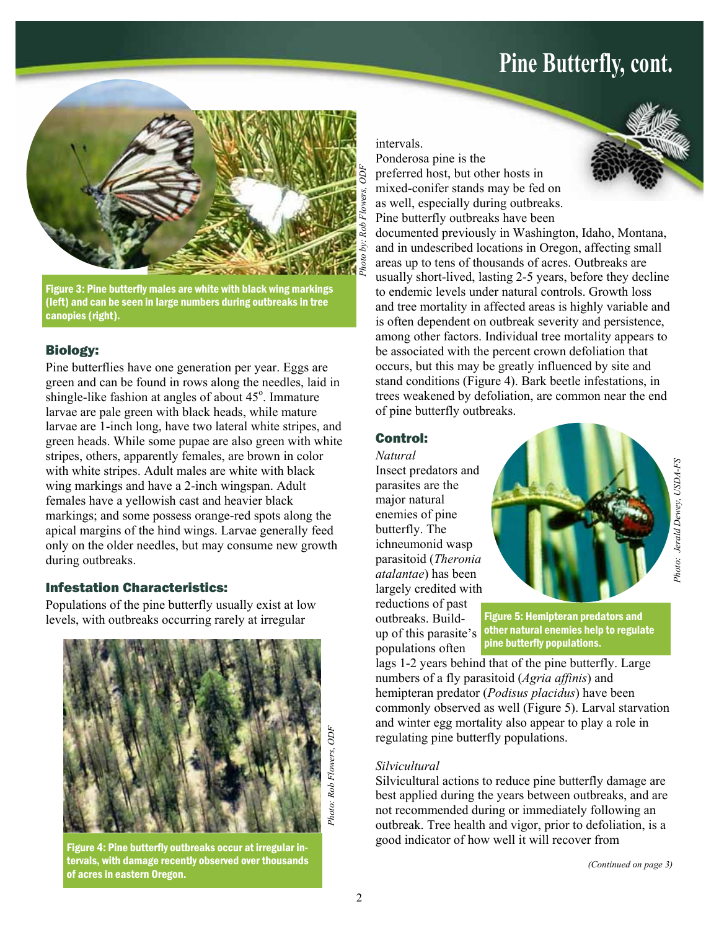### **Pine Butterfly, cont.**



Figure 3: Pine butterfly males are white with black wing markings (left) and can be seen in large numbers during outbreaks in tree canopies (right).

### Biology:

Pine butterflies have one generation per year. Eggs are green and can be found in rows along the needles, laid in shingle-like fashion at angles of about 45°. Immature larvae are pale green with black heads, while mature larvae are 1-inch long, have two lateral white stripes, and green heads. While some pupae are also green with white stripes, others, apparently females, are brown in color with white stripes. Adult males are white with black wing markings and have a 2-inch wingspan. Adult females have a yellowish cast and heavier black markings; and some possess orange-red spots along the apical margins of the hind wings. Larvae generally feed only on the older needles, but may consume new growth during outbreaks.

### Infestation Characteristics:

Populations of the pine butterfly usually exist at low levels, with outbreaks occurring rarely at irregular



Figure 4: Pine butterfly outbreaks occur at irregular intervals, with damage recently observed over thousands of acres in eastern Oregon.

intervals.

Ponderosa pine is the preferred host, but other hosts in mixed-conifer stands may be fed on as well, especially during outbreaks. Pine butterfly outbreaks have been



### Control:

*Natural*  Insect predators and parasites are the major natural enemies of pine butterfly. The ichneumonid wasp parasitoid (*Theronia atalantae*) has been largely credited with reductions of past outbreaks. Buildup of this parasite's

populations often



Figure 5: Hemipteran predators and other natural enemies help to regulate pine butterfly populations.

lags 1-2 years behind that of the pine butterfly. Large numbers of a fly parasitoid (*Agria affinis*) and hemipteran predator (*Podisus placidus*) have been commonly observed as well (Figure 5). Larval starvation and winter egg mortality also appear to play a role in regulating pine butterfly populations.

### *Silvicultural*

Silvicultural actions to reduce pine butterfly damage are best applied during the years between outbreaks, and are not recommended during or immediately following an outbreak. Tree health and vigor, prior to defoliation, is a good indicator of how well it will recover from